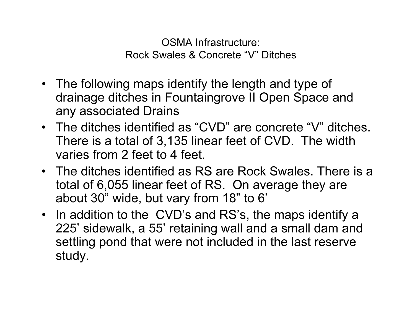OSMA Infrastructure: Rock Swales & Concrete "V" Ditches

- The following maps identify the length and type of drainage ditches in Fountaingrove II Open Space and any associated Drains
- The ditches identified as "CVD" are concrete "V" ditches. There is a total of 3,135 linear feet of CVD. The width varies from 2 feet to 4 feet.
- The ditches identified as RS are Rock Swales. There is a total of 6,055 linear feet of RS. On average they are about 30" wide, but vary from 18" to 6'
- In addition to the CVD's and RS's, the maps identify a 225' sidewalk, a 55' retaining wall and a small dam and settling pond that were not included in the last reserve study.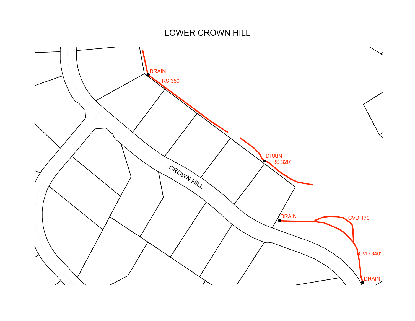### LOWER CROWN HILL

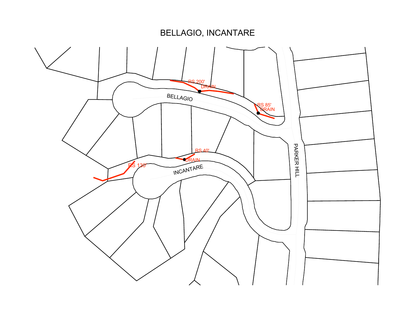BELLAGIO, INCANTARE

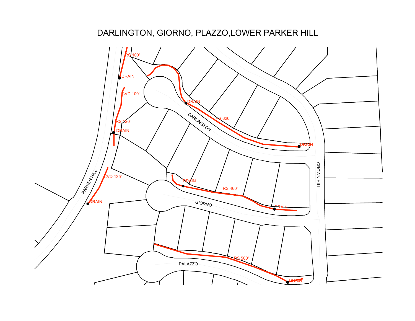# DARLINGTON, GIORNO, PLAZZO,LOWER PARKER HILL

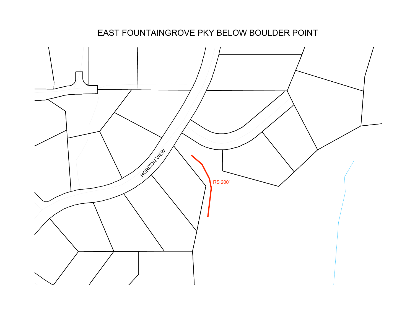

### EAST FOUNTAINGROVE PKY BELOW BOULDER POINT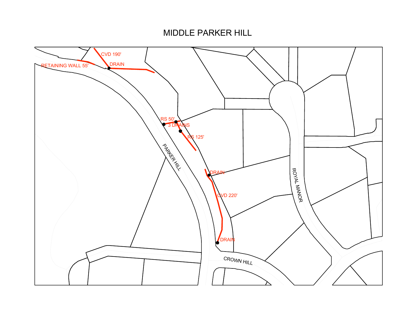#### MIDDLE PARKER HILL

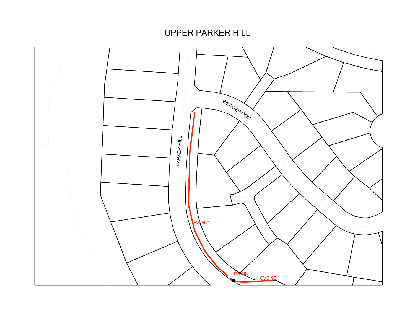UPPER PARKER HILL

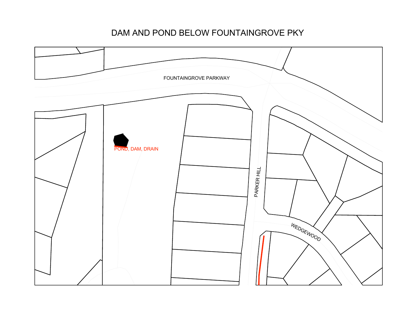### DAM AND POND BELOW FOUNTAINGROVE PKY

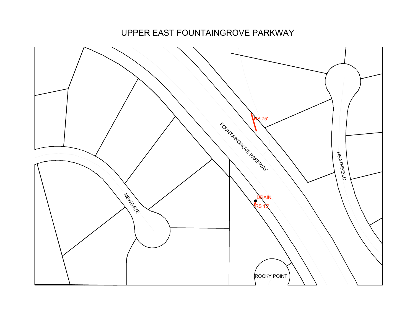UPPER EAST FOUNTAINGROVE PARKWAY

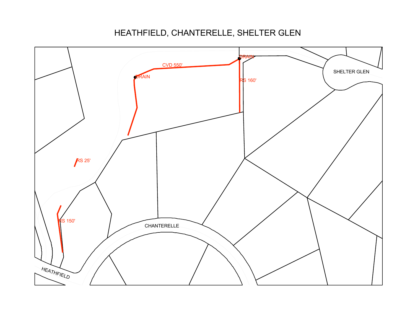# HEATHFIELD, CHANTERELLE, SHELTER GLEN

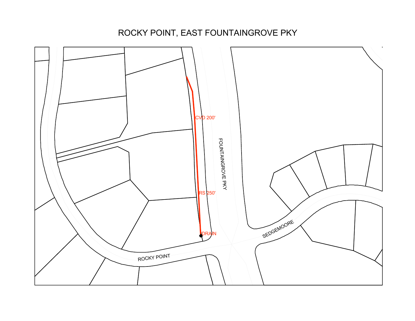# ROCKY POINT, EAST FOUNTAINGROVE PKY

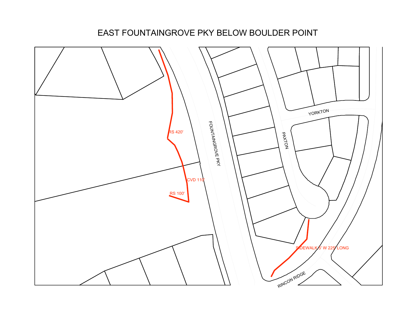#### EAST FOUNTAINGROVE PKY BELOW BOULDER POINT

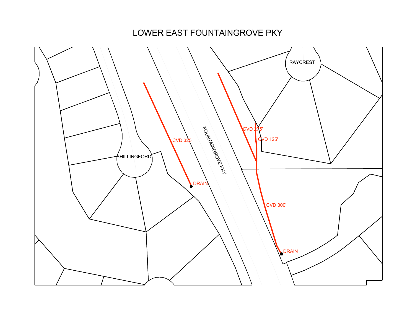LOWER EAST FOUNTAINGROVE PKY